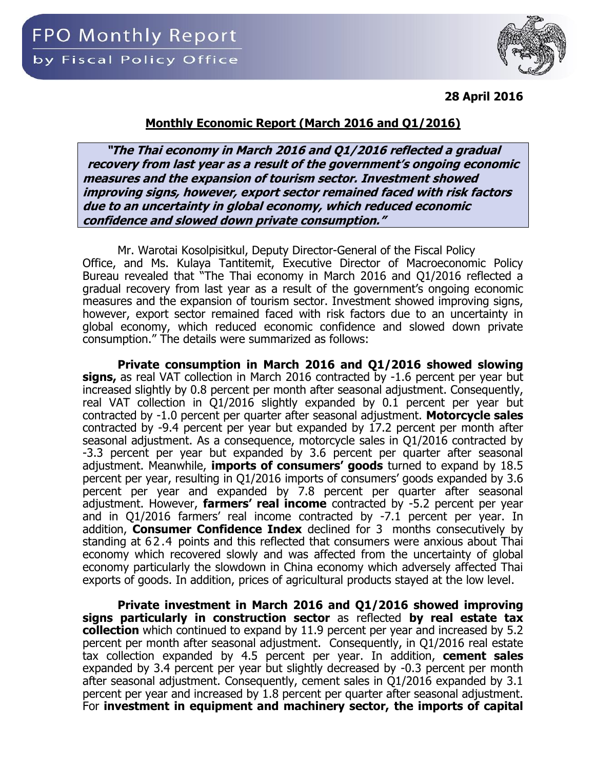#### **Monthly Economic Report (March 2016 and Q1/2016)**

**"The Thai economy in March 2016 and Q1/2016 reflected a gradual recovery from last year as a result of the government's ongoing economic measures and the expansion of tourism sector. Investment showed improving signs, however, export sector remained faced with risk factors due to an uncertainty in global economy, which reduced economic confidence and slowed down private consumption."**

Mr. Warotai Kosolpisitkul, Deputy Director-General of the Fiscal Policy Office, and Ms. Kulaya Tantitemit, Executive Director of Macroeconomic Policy Bureau revealed that "The Thai economy in March 2016 and Q1/2016 reflected a gradual recovery from last year as a result of the government's ongoing economic measures and the expansion of tourism sector. Investment showed improving signs, however, export sector remained faced with risk factors due to an uncertainty in global economy, which reduced economic confidence and slowed down private consumption." The details were summarized as follows:

**Private consumption in March 2016 and Q1/2016 showed slowing signs,** as real VAT collection in March 2016 contracted by -1.6 percent per year but increased slightly by 0.8 percent per month after seasonal adjustment. Consequently, real VAT collection in Q1/2016 slightly expanded by 0.1 percent per year but contracted by -1.0 percent per quarter after seasonal adjustment. **Motorcycle sales** contracted by -9.4 percent per year but expanded by 17.2 percent per month after seasonal adjustment. As a consequence, motorcycle sales in Q1/2016 contracted by -3.3 percent per year but expanded by 3.6 percent per quarter after seasonal adjustment. Meanwhile, **imports of consumers' goods** turned to expand by 18.5 percent per year, resulting in Q1/2016 imports of consumers' goods expanded by 3.6 percent per year and expanded by 7.8 percent per quarter after seasonal adjustment. However, **farmers' real income** contracted by -5.2 percent per year and in Q1/2016 farmers' real income contracted by -7.1 percent per year. In addition, **Consumer Confidence Index** declined for 3 months consecutively by standing at 62.4 points and this reflected that consumers were anxious about Thai economy which recovered slowly and was affected from the uncertainty of global economy particularly the slowdown in China economy which adversely affected Thai exports of goods. In addition, prices of agricultural products stayed at the low level.

**Private investment in March 2016 and Q1/2016 showed improving signs particularly in construction sector** as reflected **by real estate tax collection** which continued to expand by 11.9 percent per year and increased by 5.2 percent per month after seasonal adjustment. Consequently, in Q1/2016 real estate tax collection expanded by 4.5 percent per year. In addition, **cement sales** expanded by 3.4 percent per year but slightly decreased by -0.3 percent per month after seasonal adjustment. Consequently, cement sales in Q1/2016 expanded by 3.1 percent per year and increased by 1.8 percent per quarter after seasonal adjustment. For **investment in equipment and machinery sector, the imports of capital**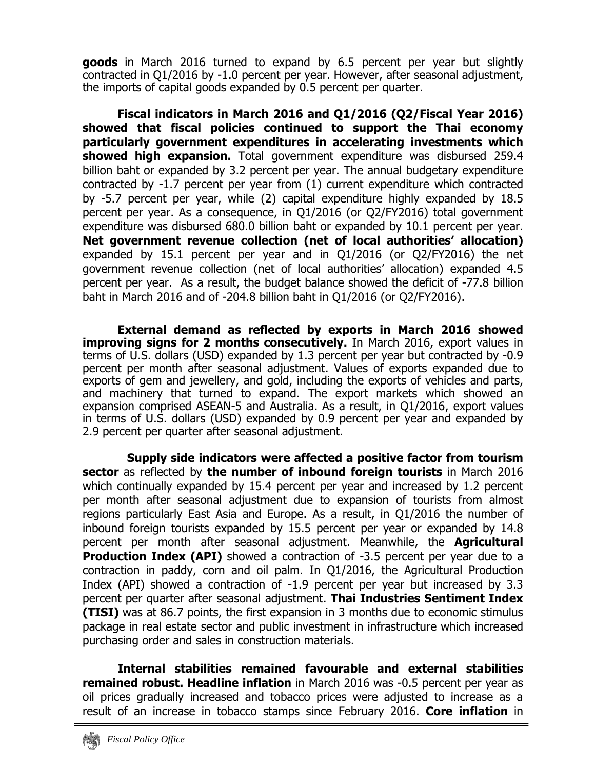**goods** in March 2016 turned to expand by 6.5 percent per year but slightly contracted in Q1/2016 by -1.0 percent per year. However, after seasonal adjustment, the imports of capital goods expanded by 0.5 percent per quarter.

**Fiscal indicators in March 2016 and Q1/2016 (Q2/Fiscal Year 2016) showed that fiscal policies continued to support the Thai economy particularly government expenditures in accelerating investments which showed high expansion.** Total government expenditure was disbursed 259.4 billion baht or expanded by 3.2 percent per year. The annual budgetary expenditure contracted by -1.7 percent per year from (1) current expenditure which contracted by -5.7 percent per year, while (2) capital expenditure highly expanded by 18.5 percent per year. As a consequence, in Q1/2016 (or Q2/FY2016) total government expenditure was disbursed 680.0 billion baht or expanded by 10.1 percent per year. **Net government revenue collection (net of local authorities' allocation)** expanded by 15.1 percent per year and in Q1/2016 (or Q2/FY2016) the net government revenue collection (net of local authorities' allocation) expanded 4.5 percent per year. As a result, the budget balance showed the deficit of -77.8 billion baht in March 2016 and of -204.8 billion baht in Q1/2016 (or Q2/FY2016).

**External demand as reflected by exports in March 2016 showed improving signs for 2 months consecutively.** In March 2016, export values in terms of U.S. dollars (USD) expanded by 1.3 percent per year but contracted by -0.9 percent per month after seasonal adjustment. Values of exports expanded due to exports of gem and jewellery, and gold, including the exports of vehicles and parts, and machinery that turned to expand. The export markets which showed an expansion comprised ASEAN-5 and Australia. As a result, in Q1/2016, export values in terms of U.S. dollars (USD) expanded by 0.9 percent per year and expanded by 2.9 percent per quarter after seasonal adjustment.

**Supply side indicators were affected a positive factor from tourism sector** as reflected by **the number of inbound foreign tourists** in March 2016 which continually expanded by 15.4 percent per year and increased by 1.2 percent per month after seasonal adjustment due to expansion of tourists from almost regions particularly East Asia and Europe. As a result, in Q1/2016 the number of inbound foreign tourists expanded by 15.5 percent per year or expanded by 14.8 percent per month after seasonal adjustment. Meanwhile, the **Agricultural Production Index (API)** showed a contraction of -3.5 percent per year due to a contraction in paddy, corn and oil palm. In Q1/2016, the Agricultural Production Index (API) showed a contraction of -1.9 percent per year but increased by 3.3 percent per quarter after seasonal adjustment. **Thai Industries Sentiment Index (TISI)** was at 86.7 points, the first expansion in 3 months due to economic stimulus package in real estate sector and public investment in infrastructure which increased purchasing order and sales in construction materials.

**Internal stabilities remained favourable and external stabilities remained robust. Headline inflation** in March 2016 was -0.5 percent per year as oil prices gradually increased and tobacco prices were adjusted to increase as a result of an increase in tobacco stamps since February 2016. **Core inflation** in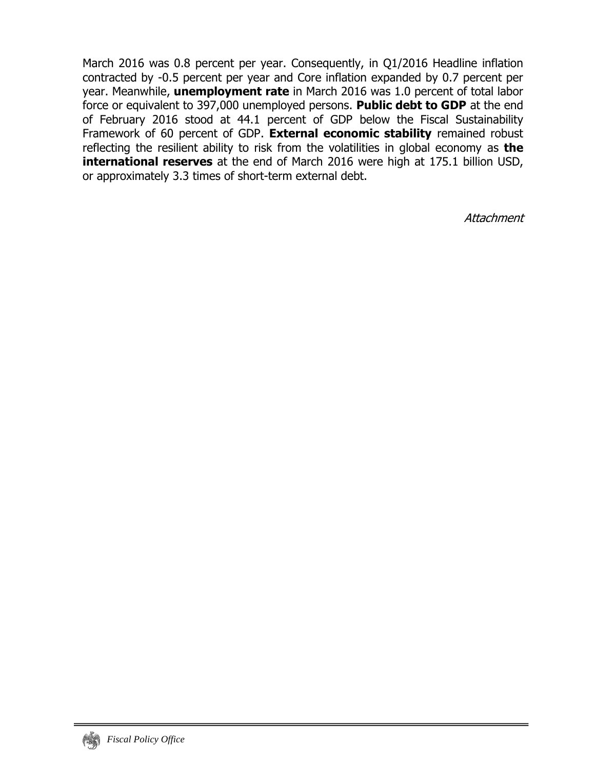March 2016 was 0.8 percent per year. Consequently, in Q1/2016 Headline inflation contracted by -0.5 percent per year and Core inflation expanded by 0.7 percent per year. Meanwhile, **unemployment rate** in March 2016 was 1.0 percent of total labor force or equivalent to 397,000 unemployed persons. **Public debt to GDP** at the end of February 2016 stood at 44.1 percent of GDP below the Fiscal Sustainability Framework of 60 percent of GDP. **External economic stability** remained robust reflecting the resilient ability to risk from the volatilities in global economy as **the international reserves** at the end of March 2016 were high at 175.1 billion USD, or approximately 3.3 times of short-term external debt.

**Attachment**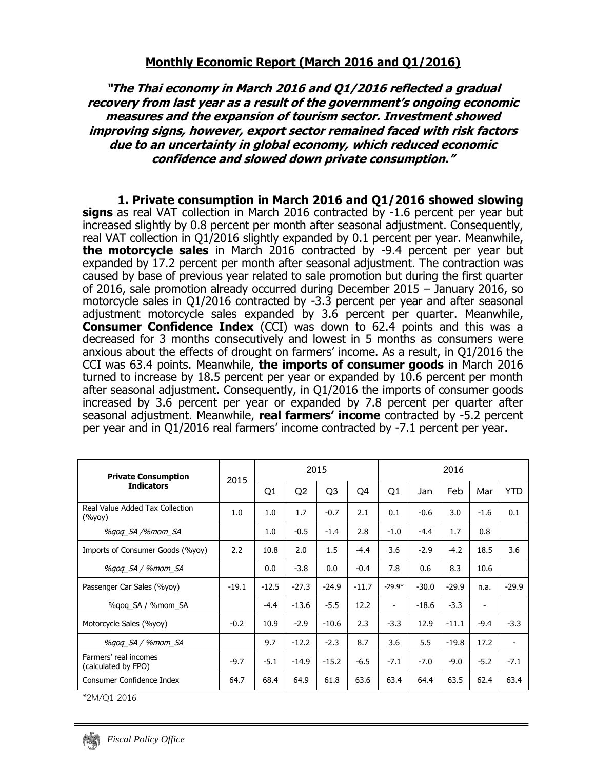#### **"The Thai economy in March 2016 and Q1/2016 reflected a gradual recovery from last year as a result of the government's ongoing economic measures and the expansion of tourism sector. Investment showed improving signs, however, export sector remained faced with risk factors due to an uncertainty in global economy, which reduced economic confidence and slowed down private consumption."**

**1. Private consumption in March 2016 and Q1/2016 showed slowing signs** as real VAT collection in March 2016 contracted by -1.6 percent per year but increased slightly by 0.8 percent per month after seasonal adjustment. Consequently, real VAT collection in Q1/2016 slightly expanded by 0.1 percent per year. Meanwhile, **the motorcycle sales** in March 2016 contracted by -9.4 percent per year but expanded by 17.2 percent per month after seasonal adjustment. The contraction was caused by base of previous year related to sale promotion but during the first quarter of 2016, sale promotion already occurred during December 2015 – January 2016, so motorcycle sales in Q1/2016 contracted by -3.3 percent per year and after seasonal adjustment motorcycle sales expanded by 3.6 percent per quarter. Meanwhile, **Consumer Confidence Index** (CCI) was down to 62.4 points and this was a decreased for 3 months consecutively and lowest in 5 months as consumers were anxious about the effects of drought on farmers' income. As a result, in Q1/2016 the CCI was 63.4 points. Meanwhile, **the imports of consumer goods** in March 2016 turned to increase by 18.5 percent per year or expanded by 10.6 percent per month after seasonal adjustment. Consequently, in Q1/2016 the imports of consumer goods increased by 3.6 percent per year or expanded by 7.8 percent per quarter after seasonal adjustment. Meanwhile, **real farmers' income** contracted by -5.2 percent per year and in Q1/2016 real farmers' income contracted by -7.1 percent per year.

| <b>Private Consumption</b>                       | 2015    |         |                | 2015           |                | 2016                     |         |         |        |                |  |
|--------------------------------------------------|---------|---------|----------------|----------------|----------------|--------------------------|---------|---------|--------|----------------|--|
| <b>Indicators</b>                                |         | Q1      | Q <sub>2</sub> | Q <sub>3</sub> | O <sub>4</sub> | Q1                       | Jan     | Feb     | Mar    | <b>YTD</b>     |  |
| Real Value Added Tax Collection<br>$(\%$ yoy $)$ | 1.0     | 1.0     | 1.7            | $-0.7$         | 2.1            | 0.1                      | $-0.6$  | 3.0     | $-1.6$ | 0.1            |  |
| %gog_SA /%mom_SA                                 |         | 1.0     | $-0.5$         | $-1.4$         | 2.8            | $-1.0$                   | $-4.4$  | 1.7     | 0.8    |                |  |
| Imports of Consumer Goods (%yoy)                 | 2.2     | 10.8    | 2.0            | 1.5            | $-4.4$         | 3.6                      | $-2.9$  | $-4.2$  | 18.5   | 3.6            |  |
| %gog_SA / %mom_SA                                |         | 0.0     | $-3.8$         | 0.0            | $-0.4$         | 7.8                      | 0.6     | 8.3     | 10.6   |                |  |
| Passenger Car Sales (%yoy)                       | $-19.1$ | $-12.5$ | $-27.3$        | $-24.9$        | $-11.7$        | $-29.9*$                 | $-30.0$ | $-29.9$ | n.a.   | $-29.9$        |  |
| %gog_SA / %mom_SA                                |         | $-4.4$  | $-13.6$        | $-5.5$         | 12.2           | $\overline{\phantom{a}}$ | $-18.6$ | $-3.3$  |        |                |  |
| Motorcycle Sales (%yoy)                          | $-0.2$  | 10.9    | $-2.9$         | $-10.6$        | 2.3            | $-3.3$                   | 12.9    | $-11.1$ | $-9.4$ | $-3.3$         |  |
| %gog_SA / %mom_SA                                |         | 9.7     | $-12.2$        | $-2.3$         | 8.7            | 3.6                      | 5.5     | $-19.8$ | 17.2   | $\overline{a}$ |  |
| Farmers' real incomes<br>(calculated by FPO)     | $-9.7$  | $-5.1$  | $-14.9$        | $-15.2$        | $-6.5$         | $-7.1$                   | $-7.0$  | $-9.0$  | $-5.2$ | $-7.1$         |  |
| Consumer Confidence Index                        | 64.7    | 68.4    | 64.9           | 61.8           | 63.6           | 63.4                     | 64.4    | 63.5    | 62.4   | 63.4           |  |

\*2M/Q1 2016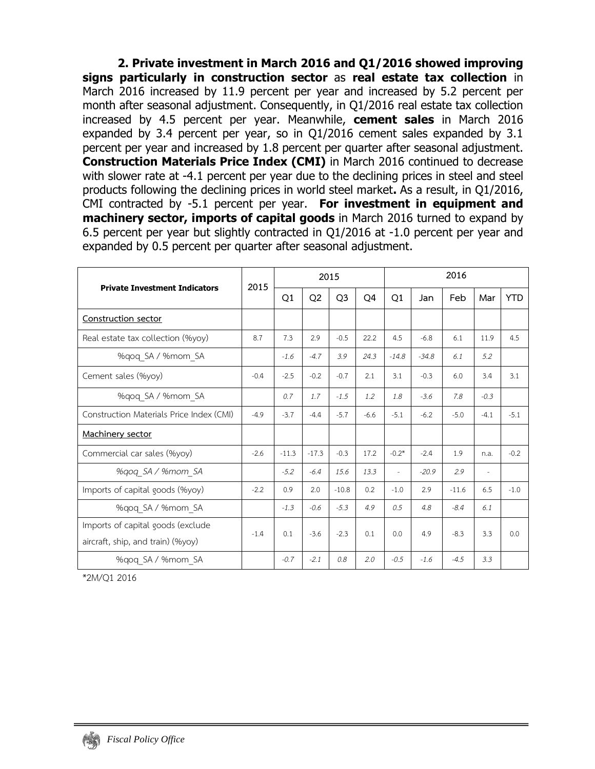**2. Private investment in March 2016 and Q1/2016 showed improving signs particularly in construction sector** as **real estate tax collection** in March 2016 increased by 11.9 percent per year and increased by 5.2 percent per month after seasonal adjustment. Consequently, in Q1/2016 real estate tax collection increased by 4.5 percent per year. Meanwhile, **cement sales** in March 2016 expanded by 3.4 percent per year, so in Q1/2016 cement sales expanded by 3.1 percent per year and increased by 1.8 percent per quarter after seasonal adjustment. **Construction Materials Price Index (CMI)** in March 2016 continued to decrease with slower rate at -4.1 percent per year due to the declining prices in steel and steel products following the declining prices in world steel market**.** As a result, in Q1/2016, CMI contracted by -5.1 percent per year. **For investment in equipment and machinery sector, imports of capital goods** in March 2016 turned to expand by 6.5 percent per year but slightly contracted in Q1/2016 at -1.0 percent per year and expanded by 0.5 percent per quarter after seasonal adjustment.

|                                          | 2015   |         |                | 2015           |        | 2016    |         |         |                          |            |  |
|------------------------------------------|--------|---------|----------------|----------------|--------|---------|---------|---------|--------------------------|------------|--|
| <b>Private Investment Indicators</b>     |        | Q1      | Q <sub>2</sub> | Q <sub>3</sub> | Q4     | Q1      | Jan     | Feb     | Mar                      | <b>YTD</b> |  |
| Construction sector                      |        |         |                |                |        |         |         |         |                          |            |  |
| Real estate tax collection (%yoy)        | 8.7    | 7.3     | 2.9            | $-0.5$         | 22.2   | 4.5     | $-6.8$  | 6.1     | 11.9                     | 4.5        |  |
| %qoq_SA / %mom_SA                        |        | $-1.6$  | $-4.7$         | 3.9            | 24.3   | $-14.8$ | $-34.8$ | 6.1     | 5.2                      |            |  |
| Cement sales (%yoy)                      | $-0.4$ | $-2.5$  | $-0.2$         | $-0.7$         | 2.1    | 3.1     | $-0.3$  | 6.0     | 3.4                      | 3.1        |  |
| %gog SA / %mom SA                        |        | 0.7     | 1.7            | $-1.5$         | 1.2    | 1.8     | $-3.6$  | 7.8     | $-0.3$                   |            |  |
| Construction Materials Price Index (CMI) | $-4.9$ | $-3.7$  | $-4.4$         | $-5.7$         | $-6.6$ | $-5.1$  | $-6.2$  | $-5.0$  | $-4.1$                   | $-5.1$     |  |
| Machinery sector                         |        |         |                |                |        |         |         |         |                          |            |  |
| Commercial car sales (%yoy)              | $-2.6$ | $-11.3$ | $-17.3$        | $-0.3$         | 17.2   | $-0.2*$ | $-2.4$  | 1.9     | n.a.                     | $-0.2$     |  |
| %qoq_SA / %mom_SA                        |        | $-5.2$  | $-6.4$         | 15.6           | 13.3   | $\sim$  | $-20.9$ | 29      | $\overline{\phantom{a}}$ |            |  |
| Imports of capital goods (%yoy)          | $-2.2$ | 0.9     | 2.0            | $-10.8$        | 0.2    | $-1.0$  | 2.9     | $-11.6$ | 6.5                      | $-1.0$     |  |
| %gog SA / %mom SA                        |        | $-1.3$  | $-0.6$         | $-5.3$         | 4.9    | 0.5     | 4.8     | $-8.4$  | 6.1                      |            |  |
| Imports of capital goods (exclude        | $-1.4$ | 0.1     | $-3.6$         | $-2.3$         | 0.1    | 0.0     | 4.9     | $-8.3$  | 3.3                      | 0.0        |  |
| aircraft, ship, and train) (%yoy)        |        |         |                |                |        |         |         |         |                          |            |  |
| %gog SA / %mom SA                        |        | $-0.7$  | $-2.1$         | 0.8            | 2.0    | $-0.5$  | $-1.6$  | $-4.5$  | 3.3                      |            |  |

\*2M/Q1 2016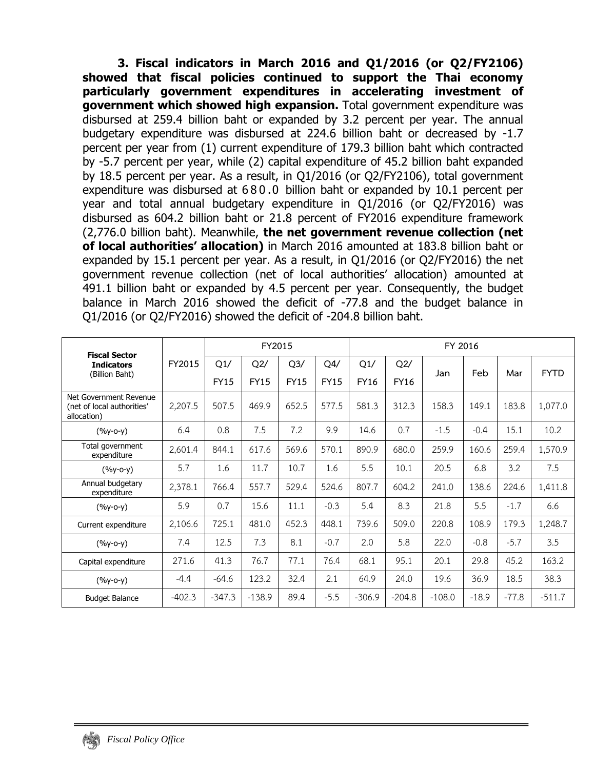**3. Fiscal indicators in March 2016 and Q1/2016 (or Q2/FY2106) showed that fiscal policies continued to support the Thai economy particularly government expenditures in accelerating investment of government which showed high expansion.** Total government expenditure was disbursed at 259.4 billion baht or expanded by 3.2 percent per year. The annual budgetary expenditure was disbursed at 224.6 billion baht or decreased by -1.7 percent per year from (1) current expenditure of 179.3 billion baht which contracted by -5.7 percent per year, while (2) capital expenditure of 45.2 billion baht expanded by 18.5 percent per year. As a result, in Q1/2016 (or Q2/FY2106), total government expenditure was disbursed at 680.0 billion baht or expanded by 10.1 percent per year and total annual budgetary expenditure in Q1/2016 (or Q2/FY2016) was disbursed as 604.2 billion baht or 21.8 percent of FY2016 expenditure framework (2,776.0 billion baht). Meanwhile, **the net government revenue collection (net of local authorities' allocation)** in March 2016 amounted at 183.8 billion baht or expanded by 15.1 percent per year. As a result, in Q1/2016 (or Q2/FY2016) the net government revenue collection (net of local authorities' allocation) amounted at 491.1 billion baht or expanded by 4.5 percent per year. Consequently, the budget balance in March 2016 showed the deficit of -77.8 and the budget balance in Q1/2016 (or Q2/FY2016) showed the deficit of -204.8 billion baht.

| <b>Fiscal Sector</b>                                                |          |             | FY2015      |             |             | FY 2016     |          |          |         |         |             |  |  |  |  |
|---------------------------------------------------------------------|----------|-------------|-------------|-------------|-------------|-------------|----------|----------|---------|---------|-------------|--|--|--|--|
| <b>Indicators</b>                                                   | FY2015   | Q1/         | Q2/         | Q3/         | Q4/         | Q1/         | Q2/      |          |         |         | <b>FYTD</b> |  |  |  |  |
| (Billion Baht)                                                      |          | <b>FY15</b> | <b>FY15</b> | <b>FY15</b> | <b>FY15</b> | <b>FY16</b> | FY16     | Jan      | Feb     | Mar     |             |  |  |  |  |
| Net Government Revenue<br>(net of local authorities'<br>allocation) | 2,207.5  | 507.5       | 469.9       | 652.5       | 577.5       | 581.3       | 312.3    | 158.3    | 149.1   | 183.8   | 1,077.0     |  |  |  |  |
| $(%y-o-y)$                                                          | 6.4      | 0.8         | 7.5         | 7.2         | 9.9         | 14.6        | 0.7      | $-1.5$   | $-0.4$  | 15.1    | 10.2        |  |  |  |  |
| Total government<br>expenditure                                     | 2,601.4  | 844.1       | 617.6       | 569.6       | 570.1       | 890.9       | 680.0    | 259.9    | 160.6   | 259.4   | 1,570.9     |  |  |  |  |
| $(%y-o-y)$                                                          | 5.7      | 1.6         | 11.7        | 10.7        | 1.6         | 5.5         | 10.1     | 20.5     | 6.8     | 3.2     | 7.5         |  |  |  |  |
| Annual budgetary<br>expenditure                                     | 2,378.1  | 766.4       | 557.7       | 529.4       | 524.6       | 807.7       | 604.2    | 241.0    | 138.6   | 224.6   | 1,411.8     |  |  |  |  |
| $(%y-o-y)$                                                          | 5.9      | 0.7         | 15.6        | 11.1        | $-0.3$      | 5.4         | 8.3      | 21.8     | 5.5     | $-1.7$  | 6.6         |  |  |  |  |
| Current expenditure                                                 | 2,106.6  | 725.1       | 481.0       | 452.3       | 448.1       | 739.6       | 509.0    | 220.8    | 108.9   | 179.3   | 1,248.7     |  |  |  |  |
| $(%y-o-y)$                                                          | 7.4      | 12.5        | 7.3         | 8.1         | $-0.7$      | 2.0         | 5.8      | 22.0     | $-0.8$  | $-5.7$  | 3.5         |  |  |  |  |
| Capital expenditure                                                 | 271.6    | 41.3        | 76.7        | 77.1        | 76.4        | 68.1        | 95.1     | 20.1     | 29.8    | 45.2    | 163.2       |  |  |  |  |
| $(%y-o-y)$                                                          | $-4.4$   | $-64.6$     | 123.2       | 32.4        | 2.1         | 64.9        | 24.0     | 19.6     | 36.9    | 18.5    | 38.3        |  |  |  |  |
| <b>Budget Balance</b>                                               | $-402.3$ | $-347.3$    | $-138.9$    | 89.4        | $-5.5$      | $-306.9$    | $-204.8$ | $-108.0$ | $-18.9$ | $-77.8$ | $-511.7$    |  |  |  |  |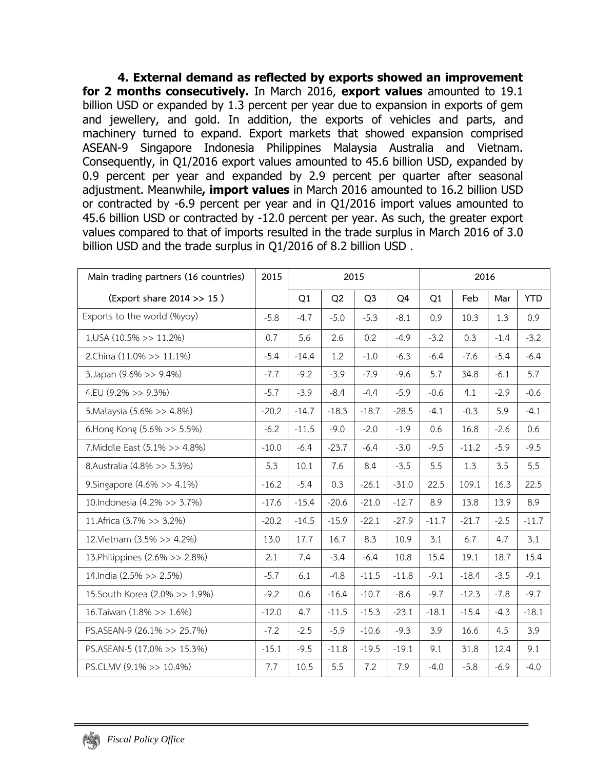**4. External demand as reflected by exports showed an improvement for 2 months consecutively.** In March 2016, **export values** amounted to 19.1 billion USD or expanded by 1.3 percent per year due to expansion in exports of gem and jewellery, and gold. In addition, the exports of vehicles and parts, and machinery turned to expand. Export markets that showed expansion comprised ASEAN-9 Singapore Indonesia Philippines Malaysia Australia and Vietnam. Consequently, in Q1/2016 export values amounted to 45.6 billion USD, expanded by 0.9 percent per year and expanded by 2.9 percent per quarter after seasonal adjustment. Meanwhile**, import values** in March 2016 amounted to 16.2 billion USD or contracted by -6.9 percent per year and in Q1/2016 import values amounted to 45.6 billion USD or contracted by -12.0 percent per year. As such, the greater export values compared to that of imports resulted in the trade surplus in March 2016 of 3.0 billion USD and the trade surplus in Q1/2016 of 8.2 billion USD .

| Main trading partners (16 countries) | 2015    |         |                | 2015           |                | 2016    |         |        |            |  |  |
|--------------------------------------|---------|---------|----------------|----------------|----------------|---------|---------|--------|------------|--|--|
| (Export share 2014 >> 15)            |         | Q1      | Q <sub>2</sub> | Q <sub>3</sub> | Q <sub>4</sub> | Q1      | Feb     | Mar    | <b>YTD</b> |  |  |
| Exports to the world (%yoy)          | $-5.8$  | $-4.7$  | $-5.0$         | $-5.3$         | $-8.1$         | 0.9     | 10.3    | 1.3    | 0.9        |  |  |
| $1.05A(10.5\%>>11.2\%)$              | 0.7     | 5.6     | 2.6            | 0.2            | $-4.9$         | $-3.2$  | 0.3     | $-1.4$ | $-3.2$     |  |  |
| 2.China (11.0% >> 11.1%)             | $-5.4$  | $-14.4$ | 1.2            | $-1.0$         | $-6.3$         | $-6.4$  | $-7.6$  | $-5.4$ | $-6.4$     |  |  |
| 3. Japan (9.6% >> 9.4%)              | $-7.7$  | $-9.2$  | $-3.9$         | $-7.9$         | $-9.6$         | 5.7     | 34.8    | $-6.1$ | 5.7        |  |  |
| 4.EU $(9.2\% >> 9.3\%)$              | $-5.7$  | $-3.9$  | $-8.4$         | $-4.4$         | $-5.9$         | $-0.6$  | 4.1     | $-2.9$ | $-0.6$     |  |  |
| 5. Malaysia (5.6% >> 4.8%)           | $-20.2$ | $-14.7$ | $-18.3$        | $-18.7$        | $-28.5$        | $-4.1$  | $-0.3$  | 5.9    | $-4.1$     |  |  |
| 6. Hong Kong $(5.6\% >> 5.5\%)$      | $-6.2$  | $-11.5$ | $-9.0$         | $-2.0$         | $-1.9$         | 0.6     | 16.8    | $-2.6$ | 0.6        |  |  |
| 7. Middle East (5.1% >> 4.8%)        | $-10.0$ | $-6.4$  | $-23.7$        | $-6.4$         | $-3.0$         | $-9.5$  | $-11.2$ | $-5.9$ | $-9.5$     |  |  |
| 8.Australia (4.8% >> 5.3%)           | 5.3     | 10.1    | 7.6            | 8.4            | $-3.5$         | 5.5     | 1.3     | 3.5    | 5.5        |  |  |
| 9. Singapore (4.6% >> 4.1%)          | $-16.2$ | $-5.4$  | 0.3            | $-26.1$        | $-31.0$        | 22.5    | 109.1   | 16.3   | 22.5       |  |  |
| 10.Indonesia (4.2% >> 3.7%)          | $-17.6$ | $-15.4$ | $-20.6$        | $-21.0$        | $-12.7$        | 8.9     | 13.8    | 13.9   | 8.9        |  |  |
| 11. Africa (3.7% >> 3.2%)            | $-20.2$ | $-14.5$ | $-15.9$        | $-22.1$        | $-27.9$        | $-11.7$ | $-21.7$ | $-2.5$ | $-11.7$    |  |  |
| 12. Vietnam (3.5% >> 4.2%)           | 13.0    | 17.7    | 16.7           | 8.3            | 10.9           | 3.1     | 6.7     | 4.7    | 3.1        |  |  |
| 13. Philippines (2.6% >> 2.8%)       | 2.1     | 7.4     | $-3.4$         | $-6.4$         | 10.8           | 15.4    | 19.1    | 18.7   | 15.4       |  |  |
| 14.India (2.5% >> 2.5%)              | $-5.7$  | 6.1     | $-4.8$         | $-11.5$        | $-11.8$        | $-9.1$  | $-18.4$ | $-3.5$ | $-9.1$     |  |  |
| 15. South Korea (2.0% >> 1.9%)       | $-9.2$  | 0.6     | $-16.4$        | $-10.7$        | $-8.6$         | $-9.7$  | $-12.3$ | $-7.8$ | $-9.7$     |  |  |
| 16. Taiwan (1.8% >> 1.6%)            | $-12.0$ | 4.7     | $-11.5$        | $-15.3$        | $-23.1$        | $-18.1$ | $-15.4$ | $-4.3$ | $-18.1$    |  |  |
| PS.ASEAN-9 (26.1% >> 25.7%)          | $-7.2$  | $-2.5$  | $-5.9$         | $-10.6$        | $-9.3$         | 3.9     | 16.6    | 4.5    | 3.9        |  |  |
| PS.ASEAN-5 (17.0% >> 15.3%)          | $-15.1$ | $-9.5$  | $-11.8$        | $-19.5$        | $-19.1$        | 9.1     | 31.8    | 12.4   | 9.1        |  |  |
| PS.CLMV (9.1% >> 10.4%)              | 7.7     | 10.5    | 5.5            | 7.2            | 7.9            | $-4.0$  | $-5.8$  | $-6.9$ | $-4.0$     |  |  |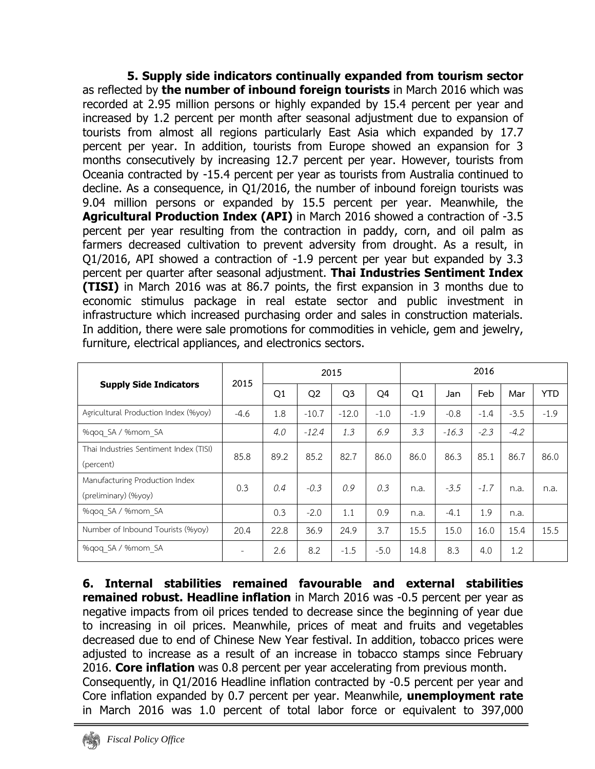**5. Supply side indicators continually expanded from tourism sector**  as reflected by **the number of inbound foreign tourists** in March 2016 which was recorded at 2.95 million persons or highly expanded by 15.4 percent per year and increased by 1.2 percent per month after seasonal adjustment due to expansion of tourists from almost all regions particularly East Asia which expanded by 17.7 percent per year. In addition, tourists from Europe showed an expansion for 3 months consecutively by increasing 12.7 percent per year. However, tourists from Oceania contracted by -15.4 percent per year as tourists from Australia continued to decline. As a consequence, in Q1/2016, the number of inbound foreign tourists was 9.04 million persons or expanded by 15.5 percent per year. Meanwhile, the **Agricultural Production Index (API)** in March 2016 showed a contraction of -3.5 percent per year resulting from the contraction in paddy, corn, and oil palm as farmers decreased cultivation to prevent adversity from drought. As a result, in Q1/2016, API showed a contraction of -1.9 percent per year but expanded by 3.3 percent per quarter after seasonal adjustment. **Thai Industries Sentiment Index (TISI)** in March 2016 was at 86.7 points, the first expansion in 3 months due to economic stimulus package in real estate sector and public investment in infrastructure which increased purchasing order and sales in construction materials. In addition, there were sale promotions for commodities in vehicle, gem and jewelry, furniture, electrical appliances, and electronics sectors.

| <b>Supply Side Indicators</b>                          | 2015   |      |                | 2015           |        | 2016   |         |        |        |            |  |
|--------------------------------------------------------|--------|------|----------------|----------------|--------|--------|---------|--------|--------|------------|--|
|                                                        |        | Q1   | Q <sub>2</sub> | Q <sub>3</sub> | Q4     | Q1     | Jan     | Feb    | Mar    | <b>YTD</b> |  |
| Agricultural Production Index (%yoy)                   | $-4.6$ | 1.8  | $-10.7$        | $-12.0$        | $-1.0$ | $-1.9$ | $-0.8$  | $-1.4$ | $-3.5$ | $-1.9$     |  |
| %qoq SA / %mom SA                                      |        | 4.0  | $-12.4$        | 1.3            | 6.9    | 3.3    | $-16.3$ | $-2.3$ | $-4.2$ |            |  |
| Thai Industries Sentiment Index (TISI)<br>(percent)    | 85.8   | 89.2 | 85.2           | 82.7           | 86.0   | 86.0   | 86.3    | 85.1   | 86.7   | 86.0       |  |
| Manufacturing Production Index<br>(preliminary) (%yoy) | 0.3    | 0.4  | $-0.3$         | 0.9            | 0.3    | n.a.   | $-3.5$  | $-1.7$ | n.a.   | n.a.       |  |
| %qoq SA / %mom SA                                      |        | 0.3  | $-2.0$         | 1.1            | 0.9    | n.a.   | $-4.1$  | 1.9    | n.a.   |            |  |
| Number of Inbound Tourists (%yoy)                      | 20.4   | 22.8 | 36.9           | 24.9           | 3.7    | 15.5   | 15.0    | 16.0   | 15.4   | 15.5       |  |
| %gog SA / %mom SA                                      | ٠      | 2.6  | 8.2            | $-1.5$         | $-5.0$ | 14.8   | 8.3     | 4.0    | 1.2    |            |  |

**6. Internal stabilities remained favourable and external stabilities remained robust. Headline inflation** in March 2016 was -0.5 percent per year as negative impacts from oil prices tended to decrease since the beginning of year due to increasing in oil prices. Meanwhile, prices of meat and fruits and vegetables decreased due to end of Chinese New Year festival. In addition, tobacco prices were adjusted to increase as a result of an increase in tobacco stamps since February 2016. **Core inflation** was 0.8 percent per year accelerating from previous month. Consequently, in Q1/2016 Headline inflation contracted by -0.5 percent per year and Core inflation expanded by 0.7 percent per year. Meanwhile, **unemployment rate** in March 2016 was 1.0 percent of total labor force or equivalent to 397,000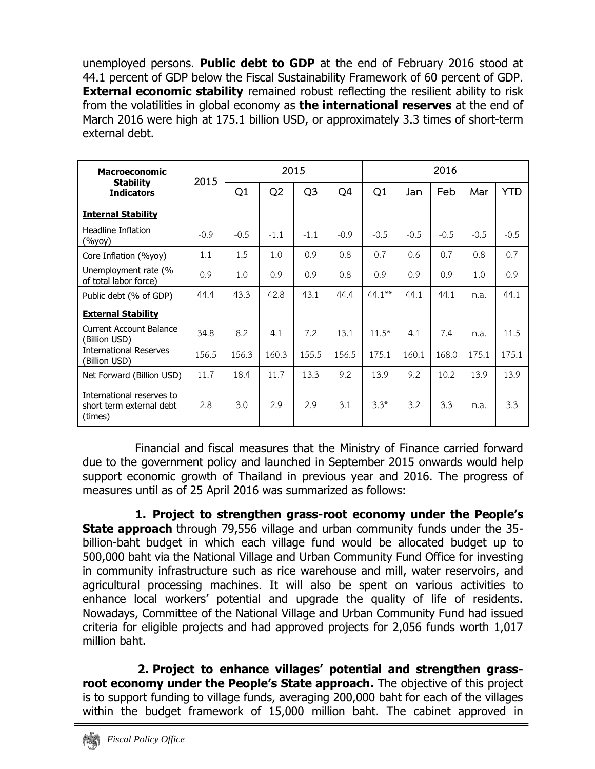unemployed persons. **Public debt to GDP** at the end of February 2016 stood at 44.1 percent of GDP below the Fiscal Sustainability Framework of 60 percent of GDP. **External economic stability** remained robust reflecting the resilient ability to risk from the volatilities in global economy as **the international reserves** at the end of March 2016 were high at 175.1 billion USD, or approximately 3.3 times of short-term external debt.

| <b>Macroeconomic</b>                                             | 2015   |        |        | 2015           |        | 2016      |        |        |        |            |  |  |
|------------------------------------------------------------------|--------|--------|--------|----------------|--------|-----------|--------|--------|--------|------------|--|--|
| <b>Stability</b><br><b>Indicators</b>                            |        | Q1     | Q2     | Q <sub>3</sub> | Q4     | Q1        | Jan    | Feb    | Mar    | <b>YTD</b> |  |  |
| <b>Internal Stability</b>                                        |        |        |        |                |        |           |        |        |        |            |  |  |
| <b>Headline Inflation</b><br>(%уоу)                              | $-0.9$ | $-0.5$ | $-1.1$ | $-1.1$         | $-0.9$ | $-0.5$    | $-0.5$ | $-0.5$ | $-0.5$ | $-0.5$     |  |  |
| Core Inflation (%yoy)                                            | 1.1    | 1.5    | 1.0    | 0.9            | 0.8    | 0.7       | 0.6    | 0.7    | 0.8    | 0.7        |  |  |
| Unemployment rate (%<br>of total labor force)                    | 0.9    | 1.0    | 0.9    | 0.9            | 0.8    | 0.9       | 0.9    | 0.9    | 1.0    | 0.9        |  |  |
| Public debt (% of GDP)                                           | 44.4   | 43.3   | 42.8   | 43.1           | 44.4   | $44.1***$ | 44.1   | 44.1   | n.a.   | 44.1       |  |  |
| <b>External Stability</b>                                        |        |        |        |                |        |           |        |        |        |            |  |  |
| <b>Current Account Balance</b><br>(Billion USD)                  | 34.8   | 8.2    | 4.1    | 7.2            | 13.1   | $11.5*$   | 4.1    | 7.4    | n.a.   | 11.5       |  |  |
| <b>International Reserves</b><br>(Billion USD)                   | 156.5  | 156.3  | 160.3  | 155.5          | 156.5  | 175.1     | 160.1  | 168.0  | 175.1  | 175.1      |  |  |
| Net Forward (Billion USD)                                        | 11.7   | 18.4   | 11.7   | 13.3           | 9.2    | 13.9      | 9.2    | 10.2   | 13.9   | 13.9       |  |  |
| International reserves to<br>short term external debt<br>(times) | 2.8    | 3.0    | 2.9    | 2.9            | 3.1    | $3.3*$    | 3.2    | 3.3    | n.a.   | 3.3        |  |  |

Financial and fiscal measures that the Ministry of Finance carried forward due to the government policy and launched in September 2015 onwards would help support economic growth of Thailand in previous year and 2016. The progress of measures until as of 25 April 2016 was summarized as follows:

**1. Project to strengthen grass-root economy under the People's State approach** through 79,556 village and urban community funds under the 35 billion-baht budget in which each village fund would be allocated budget up to 500,000 baht via the National Village and Urban Community Fund Office for investing in community infrastructure such as rice warehouse and mill, water reservoirs, and agricultural processing machines. It will also be spent on various activities to enhance local workers' potential and upgrade the quality of life of residents. Nowadays, Committee of the National Village and Urban Community Fund had issued criteria for eligible projects and had approved projects for 2,056 funds worth 1,017 million baht.

**2. Project to enhance villages' potential and strengthen grassroot economy under the People's State approach.** The objective of this project is to support funding to village funds, averaging 200,000 baht for each of the villages within the budget framework of 15,000 million baht. The cabinet approved in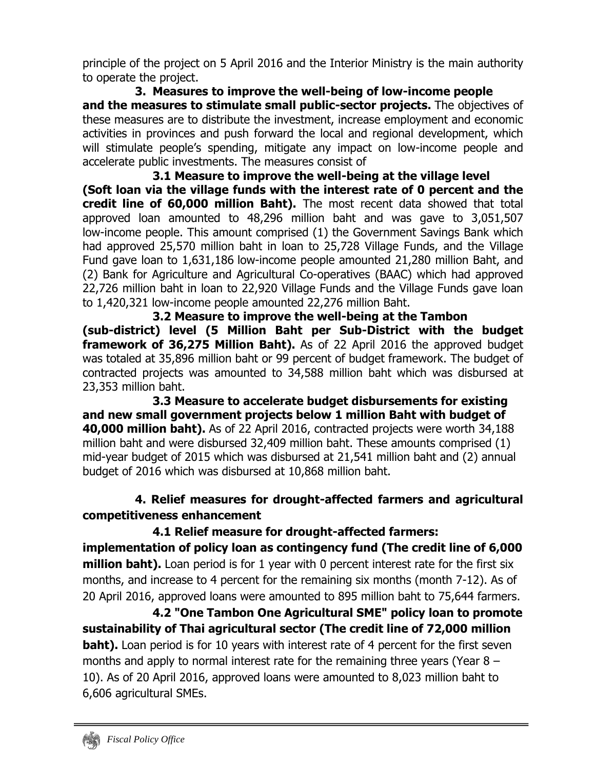principle of the project on 5 April 2016 and the Interior Ministry is the main authority to operate the project.

**3. Measures to improve the well-being of low-income people and the measures to stimulate small public-sector projects.** The objectives of these measures are to distribute the investment, increase employment and economic activities in provinces and push forward the local and regional development, which will stimulate people's spending, mitigate any impact on low-income people and accelerate public investments. The measures consist of

**3.1 Measure to improve the well-being at the village level (Soft loan via the village funds with the interest rate of 0 percent and the credit line of 60,000 million Baht).** The most recent data showed that total approved loan amounted to 48,296 million baht and was gave to 3,051,507 low-income people. This amount comprised (1) the Government Savings Bank which had approved 25,570 million baht in loan to 25,728 Village Funds, and the Village Fund gave loan to 1,631,186 low-income people amounted 21,280 million Baht, and (2) Bank for Agriculture and Agricultural Co-operatives (BAAC) which had approved 22,726 million baht in loan to 22,920 Village Funds and the Village Funds gave loan to 1,420,321 low-income people amounted 22,276 million Baht.

**3.2 Measure to improve the well-being at the Tambon (sub-district) level (5 Million Baht per Sub-District with the budget framework of 36,275 Million Baht).** As of 22 April 2016 the approved budget was totaled at 35,896 million baht or 99 percent of budget framework. The budget of contracted projects was amounted to 34,588 million baht which was disbursed at 23,353 million baht.

 **3.3 Measure to accelerate budget disbursements for existing and new small government projects below 1 million Baht with budget of 40,000 million baht).** As of 22 April 2016, contracted projects were worth 34,188 million baht and were disbursed 32,409 million baht. These amounts comprised (1) mid-year budget of 2015 which was disbursed at 21,541 million baht and (2) annual budget of 2016 which was disbursed at 10,868 million baht.

# **4. Relief measures for drought-affected farmers and agricultural competitiveness enhancement**

## **4.1 Relief measure for drought-affected farmers:**

**implementation of policy loan as contingency fund (The credit line of 6,000 million baht).** Loan period is for 1 year with 0 percent interest rate for the first six months, and increase to 4 percent for the remaining six months (month 7-12). As of 20 April 2016, approved loans were amounted to 895 million baht to 75,644 farmers.

**4.2 "One Tambon One Agricultural SME" policy loan to promote sustainability of Thai agricultural sector (The credit line of 72,000 million baht).** Loan period is for 10 years with interest rate of 4 percent for the first seven months and apply to normal interest rate for the remaining three years (Year 8 – 10). As of 20 April 2016, approved loans were amounted to 8,023 million baht to 6,606 agricultural SMEs.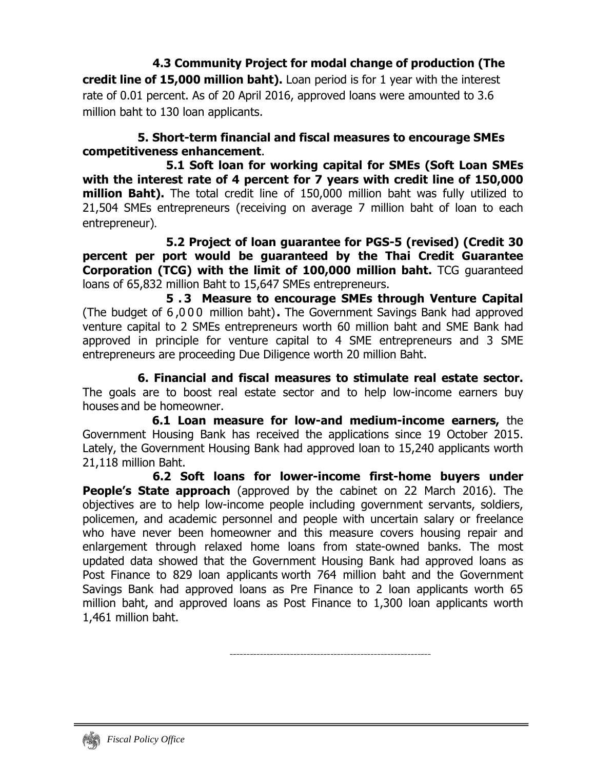**4.3 Community Project for modal change of production (The credit line of 15,000 million baht).** Loan period is for 1 year with the interest rate of 0.01 percent. As of 20 April 2016, approved loans were amounted to 3.6 million baht to 130 loan applicants.

### **5. Short-term financial and fiscal measures to encourage SMEs competitiveness enhancement**.

 **5.1 Soft loan for working capital for SMEs (Soft Loan SMEs with the interest rate of 4 percent for 7 years with credit line of 150,000 million Baht).** The total credit line of 150,000 million baht was fully utilized to 21,504 SMEs entrepreneurs (receiving on average 7 million baht of loan to each entrepreneur)**.**

 **5.2 Project of loan guarantee for PGS-5 (revised) (Credit 30 percent per port would be guaranteed by the Thai Credit Guarantee Corporation (TCG) with the limit of 100,000 million baht.** TCG guaranteed loans of 65,832 million Baht to 15,647 SMEs entrepreneurs.

 **5 . 3 Measure to encourage SMEs through Venture Capital** (The budget of 6 ,000 million baht)**.** The Government Savings Bank had approved venture capital to 2 SMEs entrepreneurs worth 60 million baht and SME Bank had approved in principle for venture capital to 4 SME entrepreneurs and 3 SME entrepreneurs are proceeding Due Diligence worth 20 million Baht.

**6. Financial and fiscal measures to stimulate real estate sector.**  The goals are to boost real estate sector and to help low-income earners buy houses and be homeowner.

 **6.1 Loan measure for low-and medium-income earners,** the Government Housing Bank has received the applications since 19 October 2015. Lately, the Government Housing Bank had approved loan to 15,240 applicants worth 21,118 million Baht.

**6.2 Soft loans for lower-income first-home buyers under People's State approach** (approved by the cabinet on 22 March 2016). The objectives are to help low-income people including government servants, soldiers, policemen, and academic personnel and people with uncertain salary or freelance who have never been homeowner and this measure covers housing repair and enlargement through relaxed home loans from state-owned banks. The most updated data showed that the Government Housing Bank had approved loans as Post Finance to 829 loan applicants worth 764 million baht and the Government Savings Bank had approved loans as Pre Finance to 2 loan applicants worth 65 million baht, and approved loans as Post Finance to 1,300 loan applicants worth 1,461 million baht.

------------------------------------------------------------

 *Fiscal Policy Office*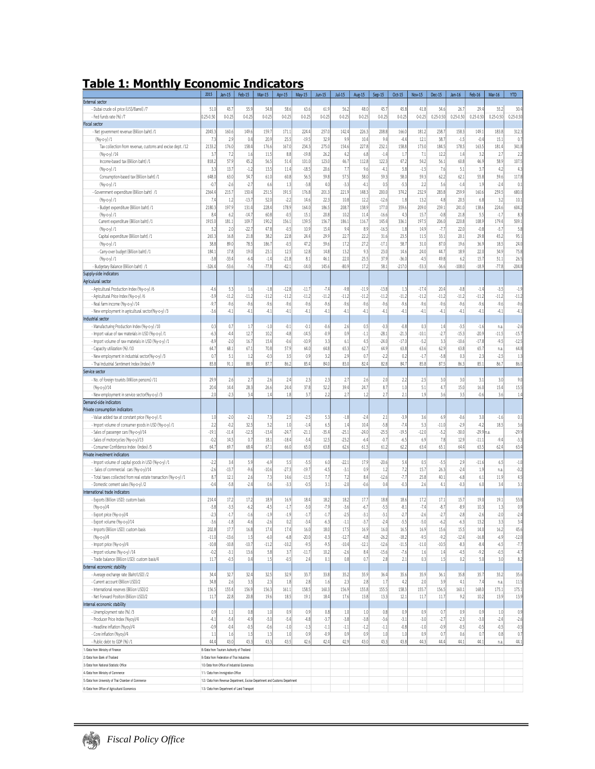# **Table 1: Monthly Economic Indicators**

|                                                                  | 2015          | $Jan-15$                                  | Feb-15                                                                      | Mar-15     | Apr-15    | May-15     | $Jun-15$   | <b>Jul-15</b> | Aug-15    | $Sep-15$   | Oct-15     | <b>Nov-15</b> | Dec-15        | Jan-16        | Feb-16        | Mar-16        | <b>YTD</b>    |
|------------------------------------------------------------------|---------------|-------------------------------------------|-----------------------------------------------------------------------------|------------|-----------|------------|------------|---------------|-----------|------------|------------|---------------|---------------|---------------|---------------|---------------|---------------|
| <b>External sector</b>                                           |               |                                           |                                                                             |            |           |            |            |               |           |            |            |               |               |               |               |               |               |
| - Dubai crude oil price (US\$/Barrel) /7                         | 51(           | 45.                                       | 55.9                                                                        | 54.8       | 58.       | 63.0       | 61.        | 56.2          | 48.       | 45.7       | 45.8       | 41.8          | 34.6          | 26.           | 29.0          | 35.2          | 30.4          |
| - Fed funds rate (%) /7                                          | $0.25 - 0.50$ | $0 - 0.25$                                | $0 - 0.25$                                                                  | $0 - 0.25$ | $0 - 0.2$ | $0 - 0.25$ | $0 - 0.21$ | $0 - 0.25$    | $0 - 0.2$ | $0 - 0.25$ | $0 - 0.25$ | $0 - 0.25$    | $0.25 - 0.50$ | $0.25 - 0.50$ | $0.25 - 0.50$ | $0.25 - 0.50$ | $0.25 - 0.50$ |
| Fiscal sector                                                    |               |                                           |                                                                             |            |           |            |            |               |           |            |            |               |               |               |               |               |               |
| - Net government revenue (Billion baht) /1                       | 2045.3        | 160.6                                     | 149.6                                                                       | 159.7      | 171.      | 224.0      | 257.       | 142.4         | 226.3     | 208.8      | 166.0      | 181.2         | 238.7         | 158.3         | 149.          | 183.8         | 312.3         |
| $(96y-c-y)/1$                                                    | 7.3           | 2.9                                       | 0.4                                                                         | 20.9       | 25.5      | $-19.5$    | 32.        | 9.9           | 10.5      | 9.4        | $-4.4$     | 12.1          | 38.7          | $-1.5$        | $-0.6$        | 15.           | 0.7           |
| Tax collection from revenue, customs and excise dept. /12        | 2133.2        | 176.0                                     | 158.4                                                                       | 176.6      | 167.0     | 234.3      | 275.0      | 154.6         | 227.      | 232.1      | 158.8      | 173.0         | 184.5         | 178.5         | 163.5         | 181.          | 341.8         |
| $(96y-c-y)/14$                                                   | 3.1           | 7.2                                       | 1.6                                                                         | 11.5       | 8.8       | $-19.8$    | 26.2       | 4.2           | 6.8       | $-1.4$     | 1.7        | 7.1           | 12.2          | 1.6           | 3.2           | 2.1           | 2.2           |
| Income-based tax (Billion baht) /1                               | 818.2         | 57.9                                      | 45.2                                                                        | 56.5       | 51.6      | 101.0      | 123.       | 46.7          | 112.8     | 122.3      | 47.2       | 54.2          | 56.1          | 60.8          | 46.9          | 58.5          | 107.5         |
| (%y-o-y)/1                                                       | 3.3           | 13.                                       | $-1.2$                                                                      | 13.5       | 11.4      | $-18.5$    | 20.1       | 7.7           | 9.6       | $-4.1$     | 5.8        | $-1.5$        | 7.6           | 5.            | 3.7           | 4.2           | 4.3           |
| Consumption-based tax (Billion baht) /1                          | 648.0         | 63.0                                      | 54.7                                                                        | 61.0       | 60.8      | 56.5       | 59.8       | 57.5          | 58.       | 59.3       | 58.0       | 59.3          | 62.2          | 62.1          | 55.8          | 59.0          | 117.8         |
|                                                                  |               |                                           |                                                                             |            |           |            |            |               |           |            |            |               |               |               |               |               |               |
| $(96y-c-y)/1$                                                    | $-0.7$        | $-2.6$                                    | $-2.7$                                                                      | 6.6        | 1.3       | $-3.8$     | 4(         | $-3.3$        | $-4.1$    | 0.5        | $-5.3$     | 2.2           | 5.6           | $-1.6$        | 1.9           | $-2.6$        | 0.1           |
| - Government expenditure (Billion baht) /1                       | 2364.         | 215.                                      | 150.4                                                                       | 251.5      | 191.      | 176.8      | 201.       | 221.9         | 148.      | 200.0      | 374.2      | 232.9         | 283.8         | 259.          | 160.6         | 259.          | 680.0         |
| $(96y-c-y)/1$                                                    | 7.4           | 1.2                                       | $-13.7$                                                                     | 52.0       | $-2.2$    | 14.6       | 22.3       | 10.8          | 12.2      | $-12.6$    | 1.8        | 13.2          | 4.8           | 20.5          | 6.8           | 3.2           | 10.1          |
| - Budget expenditure (Billion baht) /1                           | 2180.3        | 197.9                                     | 131.4                                                                       | 228.0      | 178.9     | 164.0      | 186.       | 208.7         | 138.      | 177.0      | 359.6      | 209.0         | 239.1         | 241.0         | 138.6         | 224.6         | 604.2         |
| $(96y-c-y)/1$                                                    | 8.4           | 6.2                                       | $-14.7$                                                                     | 60.8       | $-0.5$    | 15.        | 20.8       | 10.2          | 11.0      | $-16.6$    | 4.3        | 15.           | $-0.8$        | 21.8          | 5.5           | $-1.7$        | 8.3           |
| Current expenditure (Billion baht) /1                            | 1915.         | 181.1                                     | 109.7                                                                       | 190.2      | 156.      | 139.       | 156.       | 186.1         | 116.      | 145.4      | 336.1      | 197.5         | 206.0         | 220.8         | 108.9         | 179.          | 509.1         |
| (%y-o-y)/1                                                       | 5.2           | 2.0                                       | $-22.7$                                                                     | 47.8       | $-0.5$    | 10.9       | 15.4       | 9.4           | 8.9       | $-16.5$    | 1.8        | 14.9          | $-7.7$        | 22.0          | $-0.8$        | $-5.7$        | 5.8           |
| Capital expenditure (Billion baht) /1                            | 265.3         | 16.8                                      | 21.8                                                                        | 38.2       | 22.8      | 24.0       | 29.        | 22.7          | 22.2      | 31.6       | 23.5       | 11.5          | 33.1          | 20.1          | 29.8          | 45.2          | 95.1          |
| $(96y-c-y)/1$                                                    | 38.8          | 89.0                                      | 78.5                                                                        | 186.7      | $-0.5$    | 47.2       | 59.0       | 17.2          | 27.2      | $-17.1$    | 58.7       | 31.0          | 87.0          | 19.6          | 36.9          | 18.           | 24.0          |
| - Carry-over budget (Billion baht) /1                            | 184.          | 17.8                                      | 19.0                                                                        | 23.1       | 12.5      | 12.8       | 14.8       | 13.2          | 9.3       | 23.0       | 14.6       | 24.0          | 44.7          | 18.5          | 22.0          | 34.9          | 75.8          |
| $(96y-c-y)/1$                                                    | $-3.8$        | $-33.0$                                   | $-6.4$                                                                      | $-1.4$     | $-21.8$   | 8.1        | 46.        | 22.0          | 25.       | 37.9       | $-36.$     | $-4.5$        | 49.8          | 6.2           | 15.7          | 51.           | 26.5          |
| - Budgetary Balance (Billion baht) /1                            | $-326.4$      | $-53.6$                                   | $-7.6$                                                                      | $-77.8$    | $-42.1$   | $-14.0$    | 145.6      | $-80.9$       | 17.2      | 58.1       | $-217.0$   | $-53.3$       | $-36.6$       | $-108.$       | $-18.9$       | $-77.8$       | $-204.8$      |
| Supply-side indicators                                           |               |                                           |                                                                             |            |           |            |            |               |           |            |            |               |               |               |               |               |               |
| Agriculural sector                                               |               |                                           |                                                                             |            |           |            |            |               |           |            |            |               |               |               |               |               |               |
| - Agricultural Production Index (%y-o-y) /6                      | $-4.6$        | 5.3                                       | 1.6                                                                         | $-1.8$     | $-12.8$   | $-11.7$    | $-7,$      | $-9.8$        | $-11.9$   | $-13.8$    | 1.3        | $-17.0$       | 20.4          | $-0.8$        | $-1.4$        | $-3.5$        | $-1.9$        |
| - Agricultural Price Index (%y-o-y) /6                           | $-5.9$        | $-11.2$                                   | $-11.2$                                                                     | $-11.2$    | $-11.2$   | $-11.2$    | $-11.2$    | $-11.2$       | $-11.2$   | $-11.2$    | $-11.2$    | $-11.2$       | $-11.2$       | $-11.2$       | $-11.2$       | $-11.2$       | $-11.2$       |
|                                                                  |               | $-9.6$                                    |                                                                             |            |           |            |            |               |           |            | $-9.6$     |               |               |               |               |               |               |
| - Real farm income (%y-o-y) /14                                  | $-9.7$        |                                           | $-9.6$                                                                      | $-9.6$     | $-9.6$    | $-9.6$     | $-9.6$     | $-9.6$        | $-9.6$    | $-9.6$     |            | $-9.6$        | $-9.6$        | $-9.6$        | $-9.6$        | $-9.6$        | $-9.6$        |
| - New employment in agricultural sector(%y-o-y) /3               | $-3.6$        | $-4.1$                                    | $-4.1$                                                                      | $-4.1$     | $-4.1$    | $-4.1$     | $-4.1$     | $-4.1$        | $-4.1$    | $-4.1$     | $-4.1$     | $-4.1$        | $-4.1$        | $-4.1$        | $-4.1$        | $-4.1$        | $-4.1$        |
| Industrial sector                                                |               |                                           |                                                                             |            |           |            |            |               |           |            |            |               |               |               |               |               |               |
| - Manufacturing Production Index (%y-o-y) /10                    | 0.3           | 0.7                                       | 1.7                                                                         | $-1.0$     | $-0.1$    | $-0.1$     | $-0.6$     | 2.6           | 0.5       | $-0.3$     | $-0.8$     | 0.3           | 1.4           | $-3.5$        | $-1.6$        | n.a           | $-2.6$        |
| - Import value of raw materials in USD (%y-o-y) /1               | $-6.3$        | $-4.4$                                    | 12.7                                                                        | 10.2       | $-4.8$    | $-14.5$    | $-0.9$     | 0.9           | $-1.1$    | $-28.1$    | $-21.3$    | $-10.1$       | $-2.7$        | $-15.3$       | $-20.9$       | $-11.5$       | $-15.7$       |
| - Import volume of raw materials in USD (%y-o-y) /1              | $-8.9$        | $-2.0$                                    | 16.7                                                                        | 15.4       | $-0.6$    | $-10.9$    | 3.3        | 6.1           | 4.9       | $-24.0$    | $-17.0$    | $-5.2$        | 3.3           | $-10.6$       | $-17.8$       | $-9.5$        | $-12.5$       |
| - Capacity utilization (%) /10                                   | 64.7          | 68.1                                      | 67.1                                                                        | 70.8       | 57.5      | 64.0       | 64.8       | 65.3          | 62.       | 64.9       | 63.8       | 63.6          | 62.9          | 63.8          | 65.7          | n.a           | 64.8          |
| - New employment in industrial sector(%y-o-y) /3                 | 0.7           | 5.1                                       | 1.2                                                                         | $-0.3$     | 3.5       | 0.9        | 3.2        | 2.9           | 0.7       | $-2.2$     | 0.2        | $-1.7$        | $-5.8$        | 0.3           | 2.3           | $-2.5$        | 1.3           |
| - Thai Industrial Sentiment Index (Index) /9                     | 85.8          | 91.1                                      | 88.9                                                                        | 87.7       | 86.2      | 85.4       | 84.0       | 83.0          | 82.0      | 82.8       | 84.7       | 85.8          | 87.5          | 86.3          | 85.1          | 86.           | 86.0          |
| Service sector                                                   |               |                                           |                                                                             |            |           |            |            |               |           |            |            |               |               |               |               |               |               |
| - No. of foreign tourists (Million persons) /11                  | 29.9          | 2.6                                       | 2.7                                                                         | 2.6        | 2.4       | 2.3        | 2.3        | 2.7           | 2.6       | 2.0        | 2.2        | 2.5           | 3.0           | 3.0           | 3.1           | 3.0           | 9.0           |
| $(96y - 0 - y)/14$                                               | 20.4          | 14.4                                      | 28.3                                                                        | 26.6       | 24.6      | 37.8       | 52.2       | 39.4          | 24.       | 8.7        | 1.0        | 5.1           | 4.7           | 15.0          | 16.0          | 15.4          | 15.5          |
| - New employment in service sector(%y-o-y) /3                    | 2.0           | $-2.3$                                    | 3.4                                                                         | 1.4        | 1.8       | 3.7        | 2.2        | 2.7           | 1.2       | 2.7        | 2.1        | 1.9           | 3.6           | 3.5           | $-0.6$        | 3.6           | 1.4           |
| Demand-side indicators                                           |               |                                           |                                                                             |            |           |            |            |               |           |            |            |               |               |               |               |               |               |
|                                                                  |               |                                           |                                                                             |            |           |            |            |               |           |            |            |               |               |               |               |               |               |
| Private consumption indicators                                   |               |                                           |                                                                             |            |           |            |            |               |           |            |            |               |               |               |               |               |               |
| - Value added tax at constant price (%y-o-y) /1                  | 1.0           | $-2.0$                                    | $-2.1$                                                                      | 7.3        | 2.5       | $-2.5$     | 5.3        | $-1.8$        | $-2.0$    | 2.1        | $-3.9$     | 3.6           | 6.9           | $-0.6$        | 3.0           | $-1.6$        | 0.1           |
| - Import volume of consumer goods in USD (%y-o-y) /1             | 2.2           | $-0.2$                                    | 32.5                                                                        | 5.2        | 1.0       | $-1.4$     | 6.5        | 1.4           | 10.4      | $-5.8$     | $-7.4$     | 5.3           | $-11.0$       | $-2.9$        | $-4.2$        | 18.           | 3.6           |
| - Sales of passenger cars (%y-o-y)/14                            | $-19.1$       | $-11.4$                                   | $-12.5$                                                                     | $-13.4$    | $-24.7$   | $-21.1$    | $-35.0$    | $-25.1$       | $-24.0$   | $-25.5$    | $-19.5$    | $-12.0$       | $-5.2$        | $-30.0$       | $-29.9$       | ı.a           | $-29.9$       |
| - Sales of motorcycles (%y-o-y)/13                               | $-0.2$        | 14.5                                      | 0.7                                                                         | 18.1       | $-18.4$   | $-5.4$     | 12.5       | $-23.2$       | $-6.0$    | $-0.7$     | $-6.5$     | 6.9           | 7.8           | 12.9          | $-11.1$       | $-9,0$        | $-3.3$        |
| - Consumer Confidence Index (Index) /5                           | 64.7          | 69.7                                      | 68.4                                                                        | 67.1       | 66.0      | 65.0       | 63.8       | 62.6          | 61.5      | 61.2       | 62.2       | 63.4          | 65.1          | 64.4          | 63.           | 62.6          | 63.4          |
| Private investment indicators                                    |               |                                           |                                                                             |            |           |            |            |               |           |            |            |               |               |               |               |               |               |
| - Import volume of capital goods in USD (%y-o-y) /1              | $-2.2$        | 3.4                                       | 5.9                                                                         | $-6.9$     | 5.5       | $-5.5$     | 6.0        | $-22.1$       | 17.9      | $-20.6$    | 5.4        | 0.5           | $-5.5$        | 2.9           | $-11.6$       | 6.5           | $-1.0$        |
| - Sales of commercial cars (%y-o-y)/14                           | $-2.6$        | $-13.7$                                   | $-9.6$                                                                      | $-10.6$    | $-27.3$   | $-19.7$    | $-4.5$     | $-3.1$        | 0.9       | 1.2        | 7.2        | 15.7          | 26.3          | $-2.4$        | 1.9           | n.a.          | $-0.2$        |
| - Total taxes collected from real estate transaction (%y-o-y) /1 | 8.7           | 12.1                                      | 2.6                                                                         | 7.3        | 14.6      | $-11.5$    | 7.7        | 7.2           | 8.0       | $-12.6$    | $-7.7$     | 25.8          | 40.1          | $-6.8$        | 6.1           | 11.9          | 4.5           |
| - Domestic cement sales (%y-o-y) /2                              | $-0.4$        | $-5.8$                                    | $-2.4$                                                                      | 0.6        | $-3.3$    | $-0.5$     | 3.1        | $-2.0$        | $-0.6$    | 0.4        | $-0.3$     | 2.6           | 4.1           | $-0.3$        | 6.0           | 3.4           | 3.1           |
| International trade indicators                                   |               |                                           |                                                                             |            |           |            |            |               |           |            |            |               |               |               |               |               |               |
| - Exports (Billion USD): custom basis                            | 214.4         | 17.2                                      | 17.2                                                                        | 18.9       | 16.5      | 18.0       | 18.2       | 18.2          | 17.       | 18.8       | 18.6       | 17.2          | 17.1          | 15.7          | 19.0          | 19.1          | 53.8          |
| (%у-о-у)/4                                                       | $-5.8$        | $-3.5$                                    | $-6.2$                                                                      | $-4.5$     | $-1.7$    | $-5.0$     | $-7.5$     | $-3.6$        | $-6.7$    | $-5.5$     | $-8.1$     | $-7.0$        | $-8.7$        | $-8.5$        | 10.3          | 1.3           | 0.9           |
|                                                                  |               | $-1.7$                                    | $-1.6$                                                                      | $-1.9$     | $-1.9$    | $-1.7$     |            | $-2.5$        | $-3.1$    | $-3.1$     |            | $-2.6$        | $-2.7$        | $-2.8$        | $-2.6$        |               |               |
| - Export price (%y-o-y)/4                                        | $-2.3$        |                                           |                                                                             |            |           |            | $-1.7$     |               |           |            | $-2.7$     |               |               |               |               | $-2.0$        | $-2.4$        |
| - Export volume (%y-o-y)/14                                      | $-3.6$        | $-1.8$                                    | $-4.6$                                                                      | $-2.6$     | 0.2       | $-3.4$     | $-6.3$     | $-1.1$        | $-3.7$    | $-2.4$     | $-5.5$     | $-5.0$        | $-6.2$        | $-6.3$        | 13.2          | 3.3           | 3.4           |
| - Imports (Billion USD): custom basis                            | 202.8         | 17.7                                      | 16.8                                                                        | 17.4       | 17.4      | 16.0       | 18.0       | 17.5          | 16.5      | 16.0       | 16.5       | 16.9          | 15.6          | 15.5          | 14.0          | 16.2          | 45.6          |
| $(96y - 0 - y)/4$                                                | $-11.0$       | $-13.6$                                   | 1.5                                                                         | $-6.0$     | $-6.8$    | $-20.0$    | $-0.3$     | $-12.7$       | $-4.8$    | $-26.2$    | $-18.2$    | $-9.5$        | $-9.2$        | $-12.4$       | $-16.8$       | $-6.9$        | $-12.0$       |
| - Import price (%y-o-y)/4                                        | $-10.8$       | $-10.8$                                   | $-10.7$                                                                     | $-11.2$    | $-10.2$   | $-9.5$     | $-9.5$     | $-10.4$       | $-12.1$   | $-12.6$    | $-11.5$    | $-11.0$       | $-10.5$       | $-8.3$        | $-8.4$        | $-6.5$        | $-7.7$        |
| - Import volume (%y-o-y) /14                                     | $-0.2$        | $-3.1$                                    | 13.6                                                                        | 5.8        | 3.7       | $-11.7$    | 10.2       | $-2.6$        | 8.4       | $-15.6$    | $-7.6$     | 1.6           | 1.4           | $-4.5$        | $-9.2$        | $-0.5$        | $-4.7$        |
| - Trade balance (Billion USD): custom basis/4                    | 11.7          | $-0.5$                                    | 0.4                                                                         | 1.5        | $-0.5$    | 2.4        | 0.1        | 0.8           | 0.7       | 2.8        | 2.1        | 0.3           | 1.5           | 0.2           | 5.0           | 3.0           | 8.2           |
| External economic stability                                      |               |                                           |                                                                             |            |           |            |            |               |           |            |            |               |               |               |               |               |               |
| - Average exchange rate (Baht/USD) /2                            | 34.4          | 32.7                                      | 32.4                                                                        | 32.5       | 32.9      | 33.7       | 33.8       | 35.2          | 35.5      | 36.4       | 35.6       | 35.9          | 36.1          | 35.8          | 35.7          | 35.2          | 35.6          |
| - Current account (Billion USD)/2                                | 34.8          | 2.6                                       | 3.5                                                                         | 2.3        | 1.8       | 2.8        | 1.6        | 2.3           | 2.8       | 1.7        | 4.2        | 2.0           | 3.9           | 4.1           | 7.4           | n.a           | 11.5          |
| - International reserves (Billion USD)/2                         | 156.5         | 155.4                                     | 156.9                                                                       | 156.3      | 161.1     | 158.5      | 160.3      | 156.9         | 155.8     | 155.5      | 158.3      | 155.7         | 156.5         | 160.1         | 168.0         | 175.3         | 175.1         |
| - Net Forward Position (Billion USD)/2                           | 11.7          | 22.8                                      | 20.8                                                                        | 19.6       | 18.5      | 19.1       | 18.4       | 17.6          | 13.8      | 13.3       | 12.1       | 11.7          | 11.7          | 9.2           | 10.2          | 13.9          | 13.9          |
| Internal economic stability                                      |               |                                           |                                                                             |            |           |            |            |               |           |            |            |               |               |               |               |               |               |
| - Unemployment rate (%) /3                                       | 0.9           | 1.1                                       | 0.8                                                                         | 1.0        | 0.9       | 0.5        | 0.8        | 1.0           | 1.0       | 0.8        | 0.9        | 0.9           | 0.7           | 0.9           | 0.9           | 1.0           | 0.9           |
| - Producer Price Index (%yoy)/4                                  | $-4.1$        | $-5.4$                                    | $-4.9$                                                                      | $-5.0$     | $-5.4$    | $-4.8$     | $-3.7$     | $-3.8$        | $-3.8$    | $-3.6$     | $-3.1$     | $-3.0$        | $-2.7$        | $-2.3$        | $-3.0$        | $-2.0$        | $-2.6$        |
| - Headline inflation (%yoy)/4                                    | $-0.9$        | $-0.4$                                    | $-0.5$                                                                      |            | $-1.0$    | $-1.3$     |            | $-1.1$        | $-1.2$    | $-1.1$     | $-0.8$     |               | $-0.9$        |               | $-0.5$        | $-0.5$        |               |
|                                                                  |               |                                           |                                                                             | $-0.6$     |           |            | $-1.1$     |               |           |            |            | $-1.0$        |               | $-0.5$        |               |               | $-0.5$        |
| - Core inflation (%yoy)/4                                        | 1.1           | 1.6                                       | 1.5                                                                         | 1.3        | $1.0$     | 0.9        | $-0.9$     | 0.9           | 0.9       | $1.0\,$    | $1.0$      | 0.9           | 0.7           | 0.6           | 0.7           | 0.8           | 0.7           |
| - Public debt to GDP (%) /1                                      | 44.4          | 43.0                                      | 43.3                                                                        | 43.3       | 43.5      | 42.6       | 42.4       | 42.9          | 43.0      | 43.3       | 43.8       | 44.3          | 44.4          | 44.1          | 44.1          | n.a.          | 44.1          |
| 1/Data from Ministry of Finance                                  |               | 8/Data from Tourism Authority of Thailand |                                                                             |            |           |            |            |               |           |            |            |               |               |               |               |               |               |
| 2/Data from Bank of Thailand                                     |               | 9/Data from Federation of Thai Industries |                                                                             |            |           |            |            |               |           |            |            |               |               |               |               |               |               |
| 3/Data from National Statistic Office                            |               |                                           | 10/Data from Office of Industrial Economics                                 |            |           |            |            |               |           |            |            |               |               |               |               |               |               |
| 4/Data from Ministry of Commerce                                 |               | 11 / Data from Immigration Office         |                                                                             |            |           |            |            |               |           |            |            |               |               |               |               |               |               |
| 5/Data from University of Thai Chamber of Commerce               |               |                                           | 12 / Data from Revenue Department, Excise Department and Customs Department |            |           |            |            |               |           |            |            |               |               |               |               |               |               |
| 6./Data from Office of Agricultural Economics                    |               |                                           | 13/ Data from Department of Land Transport                                  |            |           |            |            |               |           |            |            |               |               |               |               |               |               |